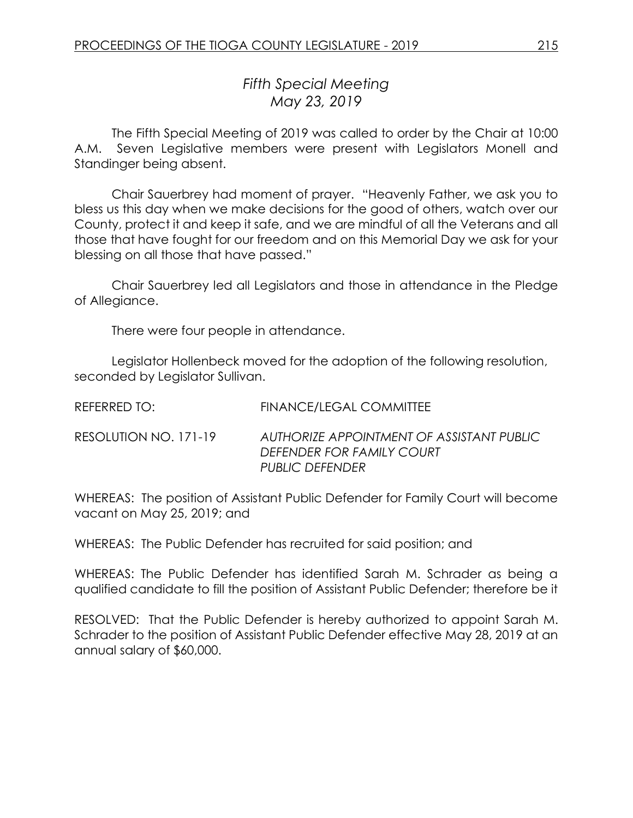## *Fifth Special Meeting May 23, 2019*

The Fifth Special Meeting of 2019 was called to order by the Chair at 10:00 A.M. Seven Legislative members were present with Legislators Monell and Standinger being absent.

Chair Sauerbrey had moment of prayer. "Heavenly Father, we ask you to bless us this day when we make decisions for the good of others, watch over our County, protect it and keep it safe, and we are mindful of all the Veterans and all those that have fought for our freedom and on this Memorial Day we ask for your blessing on all those that have passed."

Chair Sauerbrey led all Legislators and those in attendance in the Pledge of Allegiance.

There were four people in attendance.

Legislator Hollenbeck moved for the adoption of the following resolution, seconded by Legislator Sullivan.

| REFERRED TO:          | FINANCE/LEGAL COMMITTEE                                                                          |
|-----------------------|--------------------------------------------------------------------------------------------------|
| RESOLUTION NO. 171-19 | AUTHORIZE APPOINTMENT OF ASSISTANT PUBLIC<br>DEFENDER FOR FAMILY COURT<br><b>PUBLIC DEFENDER</b> |

WHEREAS: The position of Assistant Public Defender for Family Court will become vacant on May 25, 2019; and

WHEREAS: The Public Defender has recruited for said position; and

WHEREAS: The Public Defender has identified Sarah M. Schrader as being a qualified candidate to fill the position of Assistant Public Defender; therefore be it

RESOLVED: That the Public Defender is hereby authorized to appoint Sarah M. Schrader to the position of Assistant Public Defender effective May 28, 2019 at an annual salary of \$60,000.